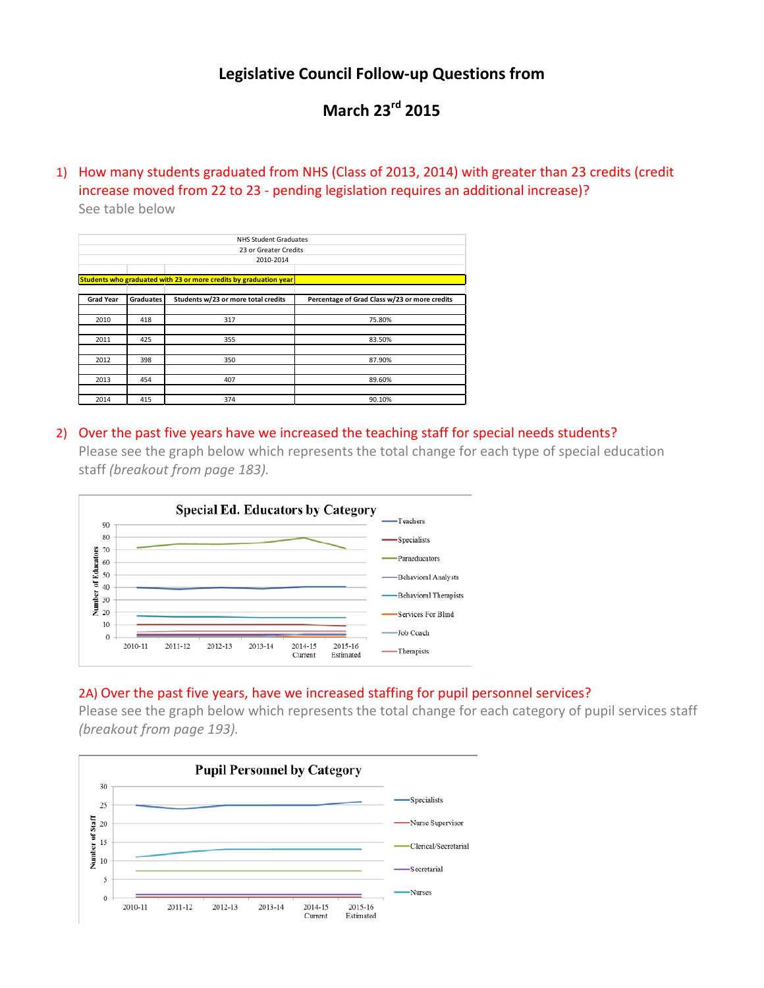## **Legislative Council Follow-up Questions from**

## **March 23rd 2015**

1) How many students graduated from NHS (Class of 2013, 2014) with greater than 23 credits (credit increase moved from 22 to 23 - pending legislation requires an additional increase)? See table below

| <b>NHS Student Graduates</b> |           |                                                                   |                                               |  |  |  |  |  |  |  |
|------------------------------|-----------|-------------------------------------------------------------------|-----------------------------------------------|--|--|--|--|--|--|--|
|                              |           | 23 or Greater Credits                                             |                                               |  |  |  |  |  |  |  |
| 2010-2014                    |           |                                                                   |                                               |  |  |  |  |  |  |  |
|                              |           |                                                                   |                                               |  |  |  |  |  |  |  |
|                              |           | Students who graduated with 23 or more credits by graduation year |                                               |  |  |  |  |  |  |  |
| <b>Grad Year</b>             | Graduates | Students w/23 or more total credits                               | Percentage of Grad Class w/23 or more credits |  |  |  |  |  |  |  |
|                              |           |                                                                   |                                               |  |  |  |  |  |  |  |
| 2010                         | 418       | 317                                                               | 75.80%                                        |  |  |  |  |  |  |  |
|                              |           |                                                                   |                                               |  |  |  |  |  |  |  |
| 2011                         | 425       | 355                                                               | 83.50%                                        |  |  |  |  |  |  |  |
|                              |           |                                                                   |                                               |  |  |  |  |  |  |  |
| 2012                         | 398       | 350                                                               | 87.90%                                        |  |  |  |  |  |  |  |
|                              |           |                                                                   |                                               |  |  |  |  |  |  |  |
| 2013                         | 454       | 407                                                               | 89.60%                                        |  |  |  |  |  |  |  |
|                              |           |                                                                   |                                               |  |  |  |  |  |  |  |
| 2014                         | 415       | 374                                                               | 90.10%                                        |  |  |  |  |  |  |  |

### 2) Over the past five years have we increased the teaching staff for special needs students?

Please see the graph below which represents the total change for each type of special education staff *(breakout from page 183).*



### 2A) Over the past five years, have we increased staffing for pupil personnel services?

Please see the graph below which represents the total change for each category of pupil services staff *(breakout from page 193).*

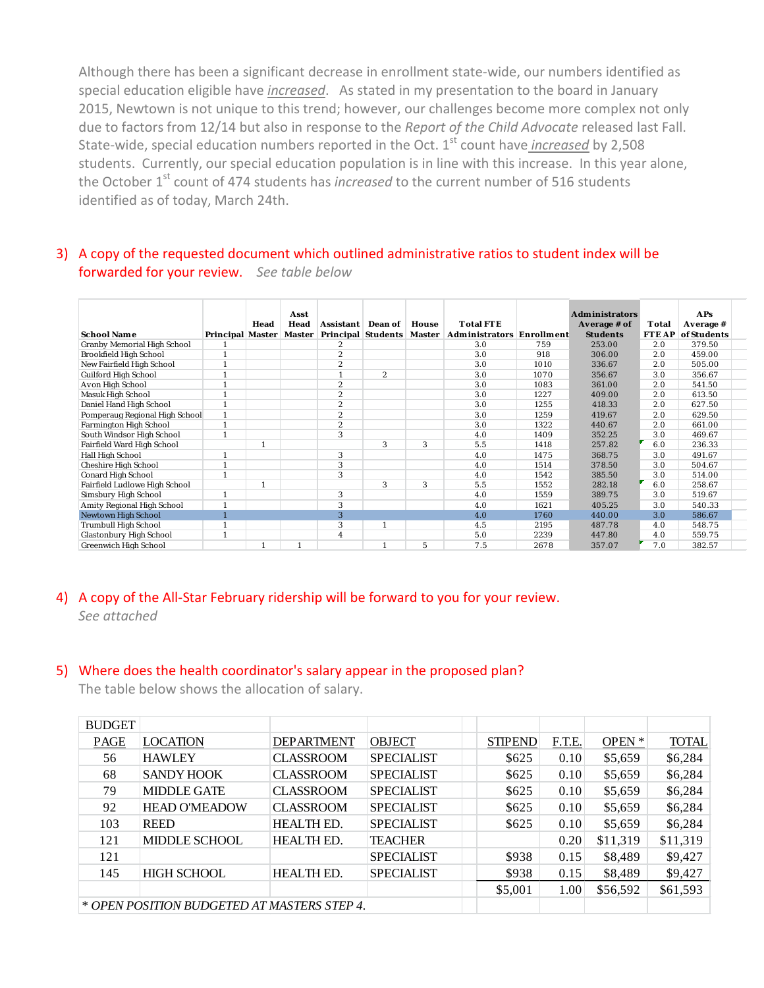Although there has been a significant decrease in enrollment state-wide, our numbers identified as special education eligible have *increased*. As stated in my presentation to the board in January 2015, Newtown is not unique to this trend; however, our challenges become more complex not only due to factors from 12/14 but also in response to the *Report of the Child Advocate* released last Fall. State-wide, special education numbers reported in the Oct. 1<sup>st</sup> count have *increased* by 2,508 students. Currently, our special education population is in line with this increase. In this year alone, the October 1<sup>st</sup> count of 474 students has *increased* to the current number of 516 students identified as of today, March 24th.

### 3) A copy of the requested document which outlined administrative ratios to student index will be forwarded for your review. *See table below*

|                                    |                         |      | Asst   |                         |                    |        |                                  |      | <b>Administrators</b> |              | <b>APs</b>  |
|------------------------------------|-------------------------|------|--------|-------------------------|--------------------|--------|----------------------------------|------|-----------------------|--------------|-------------|
|                                    |                         | Head | Head   | Assistant               | Dean of            | House  | <b>Total FTE</b>                 |      | Average # of          | Total        | Average #   |
| <b>School Name</b>                 | <b>Principal Master</b> |      | Master |                         | Principal Students | Master | <b>Administrators Enrollment</b> |      | <b>Students</b>       | <b>FTEAP</b> | of Students |
| <b>Granby Memorial High School</b> |                         |      |        | $\overline{c}$          |                    |        | 3.0                              | 759  | 253.00                | 2.0          | 379.50      |
| Brookfield High School             |                         |      |        | $\overline{2}$          |                    |        | 3.0                              | 918  | 306.00                | 2.0          | 459.00      |
| New Fairfield High School          |                         |      |        | $\overline{c}$          |                    |        | 3.0                              | 1010 | 336.67                | 2.0          | 505.00      |
| <b>Guilford High School</b>        |                         |      |        |                         | $\overline{c}$     |        | 3.0                              | 1070 | 356.67                | 3.0          | 356.67      |
| Avon High School                   |                         |      |        | $\boldsymbol{2}$        |                    |        | 3.0                              | 1083 | 361.00                | 2.0          | 541.50      |
| Masuk High School                  |                         |      |        | $\boldsymbol{2}$        |                    |        | 3.0                              | 1227 | 409.00                | 2.0          | 613.50      |
| Daniel Hand High School            |                         |      |        | $\boldsymbol{2}$        |                    |        | 3.0                              | 1255 | 418.33                | 2.0          | 627.50      |
| Pomperaug Regional High School     |                         |      |        | $\boldsymbol{2}$        |                    |        | 3.0                              | 1259 | 419.67                | 2.0          | 629.50      |
| <b>Farmington High School</b>      |                         |      |        | $\boldsymbol{2}$        |                    |        | 3.0                              | 1322 | 440.67                | 2.0          | 661.00      |
| South Windsor High School          |                         |      |        | 3                       |                    |        | 4.0                              | 1409 | 352.25                | 3.0          | 469.67      |
| Fairfield Ward High School         |                         |      |        |                         | 3                  | 3      | 5.5                              | 1418 | 257.82                | 6.0          | 236.33      |
| Hall High School                   |                         |      |        | 3                       |                    |        | 4.0                              | 1475 | 368.75                | 3.0          | 491.67      |
| Cheshire High School               |                         |      |        | 3                       |                    |        | 4.0                              | 1514 | 378.50                | 3.0          | 504.67      |
| <b>Conard High School</b>          |                         |      |        | 3                       |                    |        | 4.0                              | 1542 | 385.50                | 3.0          | 514.00      |
| Fairfield Ludlowe High School      |                         |      |        |                         | 3                  | 3      | 5.5                              | 1552 | 282.18                | 6.0          | 258.67      |
| Simsbury High School               |                         |      |        | 3                       |                    |        | 4.0                              | 1559 | 389.75                | 3.0          | 519.67      |
| Amity Regional High School         |                         |      |        | 3                       |                    |        | 4.0                              | 1621 | 405.25                | 3.0          | 540.33      |
| Newtown High School                |                         |      |        | 3                       |                    |        | 4.0                              | 1760 | 440.00                | 3.0          | 586.67      |
| Trumbull High School               |                         |      |        | 3                       |                    |        | 4.5                              | 2195 | 487.78                | 4.0          | 548.75      |
| <b>Glastonbury High School</b>     |                         |      |        | $\overline{\mathbf{4}}$ |                    |        | 5.0                              | 2239 | 447.80                | 4.0          | 559.75      |
| <b>Greenwich High School</b>       |                         |      |        |                         |                    | 5      | 7.5                              | 2678 | 357.07                | 7.0          | 382.57      |

# 4) A copy of the All-Star February ridership will be forward to you for your review.

*See attached*

### 5) Where does the health coordinator's salary appear in the proposed plan?

The table below shows the allocation of salary.

| <b>BUDGET</b>                               |                      |                   |                   |                |               |          |              |
|---------------------------------------------|----------------------|-------------------|-------------------|----------------|---------------|----------|--------------|
| <b>PAGE</b>                                 | <b>LOCATION</b>      | <b>DEPARTMENT</b> | <b>OBJECT</b>     | <b>STIPEND</b> | <b>F.T.E.</b> | OPEN *   | <b>TOTAL</b> |
| 56                                          | <b>HAWLEY</b>        | <b>CLASSROOM</b>  | <b>SPECIALIST</b> | \$625          | 0.10          | \$5,659  | \$6,284      |
| 68                                          | <b>SANDY HOOK</b>    | <b>CLASSROOM</b>  | <b>SPECIALIST</b> | \$625          | 0.10          | \$5,659  | \$6,284      |
| 79                                          | <b>MIDDLE GATE</b>   | <b>CLASSROOM</b>  | <b>SPECIALIST</b> | \$625          | 0.10          | \$5,659  | \$6,284      |
| 92                                          | <b>HEAD O'MEADOW</b> | <b>CLASSROOM</b>  | <b>SPECIALIST</b> | \$625          | 0.10          | \$5,659  | \$6,284      |
| 103                                         | <b>REED</b>          | <b>HEALTH ED.</b> | <b>SPECIALIST</b> | \$625          | 0.10          | \$5,659  | \$6,284      |
| 121                                         | MIDDLE SCHOOL        | <b>HEALTH ED.</b> | <b>TEACHER</b>    |                | 0.20          | \$11,319 | \$11,319     |
| 121                                         |                      |                   | <b>SPECIALIST</b> | \$938          | 0.15          | \$8,489  | \$9,427      |
| 145                                         | <b>HIGH SCHOOL</b>   | <b>HEALTH ED.</b> | <b>SPECIALIST</b> | \$938          | 0.15          | \$8,489  | \$9,427      |
|                                             |                      |                   |                   | \$5,001        | 1.00          | \$56,592 | \$61,593     |
| * OPEN POSITION BUDGETED AT MASTERS STEP 4. |                      |                   |                   |                |               |          |              |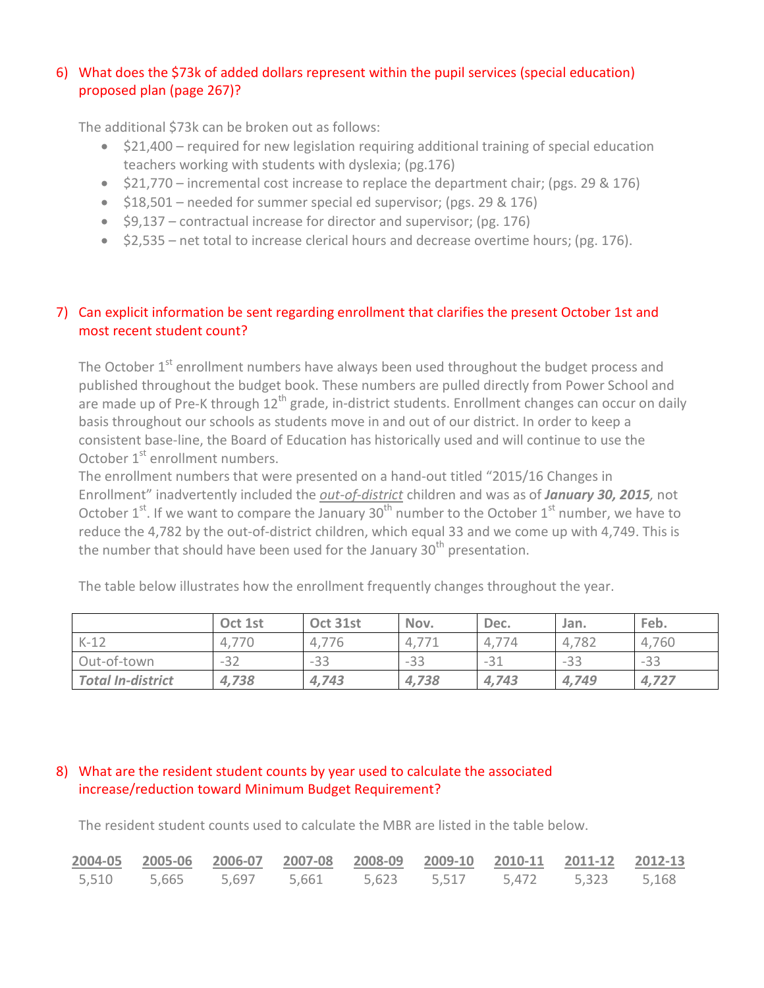## 6) What does the \$73k of added dollars represent within the pupil services (special education) proposed plan (page 267)?

The additional \$73k can be broken out as follows:

- \$21,400 required for new legislation requiring additional training of special education teachers working with students with dyslexia; (pg.176)
- \$21,770 incremental cost increase to replace the department chair; (pgs. 29 & 176)
- $\bullet$  \$18,501 needed for summer special ed supervisor; (pgs. 29 & 176)
- \$9,137 contractual increase for director and supervisor; (pg. 176)
- \$2,535 net total to increase clerical hours and decrease overtime hours; (pg. 176).

## 7) Can explicit information be sent regarding enrollment that clarifies the present October 1st and most recent student count?

The October  $1<sup>st</sup>$  enrollment numbers have always been used throughout the budget process and published throughout the budget book. These numbers are pulled directly from Power School and are made up of Pre-K through 12<sup>th</sup> grade, in-district students. Enrollment changes can occur on daily basis throughout our schools as students move in and out of our district. In order to keep a consistent base-line, the Board of Education has historically used and will continue to use the October 1<sup>st</sup> enrollment numbers.

The enrollment numbers that were presented on a hand-out titled "2015/16 Changes in Enrollment" inadvertently included the *out-of-district* children and was as of *January 30, 2015,* not October  $1^{st}$ . If we want to compare the January  $30^{th}$  number to the October  $1^{st}$  number, we have to reduce the 4,782 by the out-of-district children, which equal 33 and we come up with 4,749. This is the number that should have been used for the January 30<sup>th</sup> presentation.

The table below illustrates how the enrollment frequently changes throughout the year.

|                          | Oct 1st | Oct 31st | Nov.  | Dec.  | Jan.  | Feb.  |
|--------------------------|---------|----------|-------|-------|-------|-------|
| $K-12$                   | 4,770   | 4.7      | 4.7   |       | 4,782 | 4,760 |
| Out-of-town              | $-32$   | $-33$    | $-33$ | $-31$ | $-33$ | $-33$ |
| <b>Total In-district</b> | 4,738   | 4,743    | 4,738 | 4,743 | 4,749 | 4,727 |

### 8) What are the resident student counts by year used to calculate the associated increase/reduction toward Minimum Budget Requirement?

The resident student counts used to calculate the MBR are listed in the table below.

|  | 2004-05 2005-06 2006-07 2007-08 2008-09 2009-10 2010-11 2011-12 2012-13 |  |  |  |
|--|-------------------------------------------------------------------------|--|--|--|
|  | 5,510 5,665 5,697 5,661 5,623 5,517 5,472 5,323 5,168                   |  |  |  |